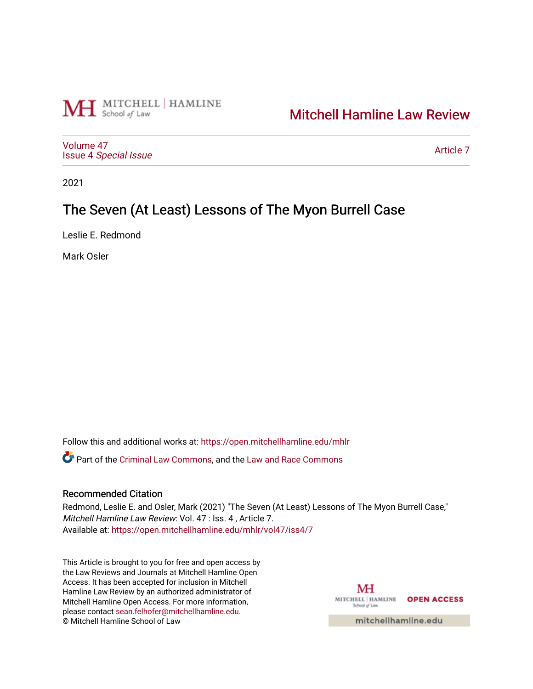

# [Mitchell Hamline Law Review](https://open.mitchellhamline.edu/mhlr)

[Volume 47](https://open.mitchellhamline.edu/mhlr/vol47) Issue 4 [Special Issue](https://open.mitchellhamline.edu/mhlr/vol47/iss4)

[Article 7](https://open.mitchellhamline.edu/mhlr/vol47/iss4/7) 

2021

# The Seven (At Least) Lessons of The Myon Burrell Case

Leslie E. Redmond

Mark Osler

Follow this and additional works at: [https://open.mitchellhamline.edu/mhlr](https://open.mitchellhamline.edu/mhlr?utm_source=open.mitchellhamline.edu%2Fmhlr%2Fvol47%2Fiss4%2F7&utm_medium=PDF&utm_campaign=PDFCoverPages) 

**C**<sup> $\bullet$ </sup> Part of the [Criminal Law Commons,](http://network.bepress.com/hgg/discipline/912?utm_source=open.mitchellhamline.edu%2Fmhlr%2Fvol47%2Fiss4%2F7&utm_medium=PDF&utm_campaign=PDFCoverPages) and the [Law and Race Commons](http://network.bepress.com/hgg/discipline/1300?utm_source=open.mitchellhamline.edu%2Fmhlr%2Fvol47%2Fiss4%2F7&utm_medium=PDF&utm_campaign=PDFCoverPages)

# Recommended Citation

Redmond, Leslie E. and Osler, Mark (2021) "The Seven (At Least) Lessons of The Myon Burrell Case," Mitchell Hamline Law Review: Vol. 47 : Iss. 4 , Article 7. Available at: [https://open.mitchellhamline.edu/mhlr/vol47/iss4/7](https://open.mitchellhamline.edu/mhlr/vol47/iss4/7?utm_source=open.mitchellhamline.edu%2Fmhlr%2Fvol47%2Fiss4%2F7&utm_medium=PDF&utm_campaign=PDFCoverPages) 

This Article is brought to you for free and open access by the Law Reviews and Journals at Mitchell Hamline Open Access. It has been accepted for inclusion in Mitchell Hamline Law Review by an authorized administrator of Mitchell Hamline Open Access. For more information, please contact [sean.felhofer@mitchellhamline.edu.](mailto:sean.felhofer@mitchellhamline.edu) © Mitchell Hamline School of Law

MH MITCHELL | HAMLINE OPEN ACCESS School of Law

mitchellhamline.edu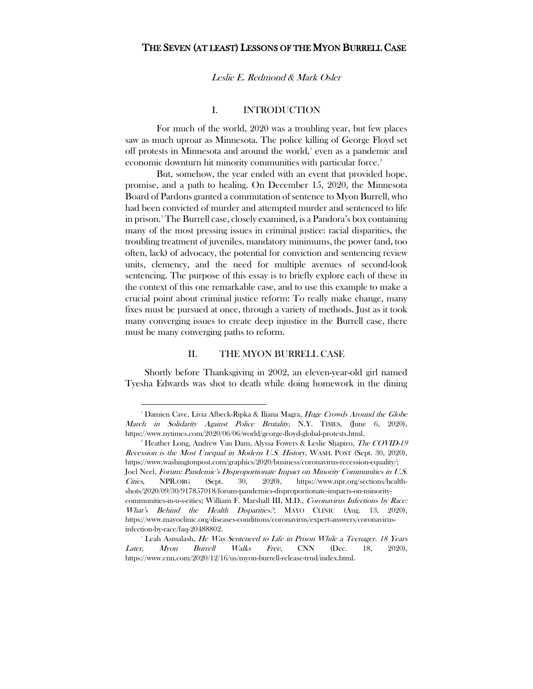# THE SEVEN (AT LEAST) LESSONS OF THE MYON BURRELL CASE

#### Leslie E. Redmond & Mark Osler

# I. INTRODUCTION

For much of the world, 2020 was a troubling year, but few places saw as much uproar as Minnesota. The police killing of George Floyd set off protests in Minnesota and around the world,<sup>[1](#page-1-0)</sup> even as a pandemic and economic downturn hit minority communities with particular force.<sup>[2](#page-1-1)</sup>

But, somehow, the year ended with an event that provided hope, promise, and a path to healing. On December 15, 2020, the Minnesota Board of Pardons granted a commutation of sentence to Myon Burrell, who had been convicted of murder and attempted murder and sentenced to life in prison.[3](#page-1-2) The Burrell case, closely examined, is a Pandora's box containing many of the most pressing issues in criminal justice: racial disparities, the troubling treatment of juveniles, mandatory minimums, the power (and, too often, lack) of advocacy, the potential for conviction and sentencing review units, clemency, and the need for multiple avenues of second-look sentencing. The purpose of this essay is to briefly explore each of these in the context of this one remarkable case, and to use this example to make a crucial point about criminal justice reform: To really make change, many fixes must be pursued at once, through a variety of methods. Just as it took many converging issues to create deep injustice in the Burrell case, there must be many converging paths to reform.

# II. THE MYON BURRELL CASE

Shortly before Thanksgiving in 2002, an eleven-year-old girl named Tyesha Edwards was shot to death while doing homework in the dining

<span id="page-1-0"></span><sup>&</sup>lt;sup>1</sup> Damien Cave, Livia Albeck-Ripka & Iliana Magra, Huge Crowds Around the Globe March in Solidarity Against Police Brutality, N.Y. TIMES, (June 6, 2020), https://www.nytimes.com/2020/06/06/world/george-floyd-global-protests.html.

<span id="page-1-1"></span><sup>&</sup>lt;sup>2</sup> Heather Long, Andrew Van Dam, Alyssa Fowers & Leslie Shapiro, *The COVID-19* Recession is the Most Unequal in Modern U.S. History, WASH. POST (Sept. 30, 2020), https://www.washingtonpost.com/graphics/2020/business/coronavirus-recession-equality/; Joel Neel, Forum: Pandemic's Disproportionate Impact on Minority Communities in U.S. Cities, NPR.ORG (Sept. 30, 2020), https://www.npr.org/sections/healthshots/2020/09/30/917857018/forum-pandemics-disproportionate-impacts-on-minoritycommunities-in-u-s-cities; William F. Marshall III, M.D., Coronavirus Infections by Race: What's Behind the Health Disparities?, MAYO CLINIC (Aug. 13, 2020), https://www.mayoclinic.org/diseases-conditions/coronavirus/expert-answers/coronavirusinfection-by-race/faq-20488802.

<span id="page-1-2"></span><sup>&</sup>lt;sup>3</sup> Leah Asmalash, *He Was Sentenced to Life in Prison While a Teenager. 18 Years* Later, Myon Burrell Walks Free, CNN (Dec. 18, 2020), https://www.cnn.com/2020/12/16/us/myon-burrell-release-trnd/index.html.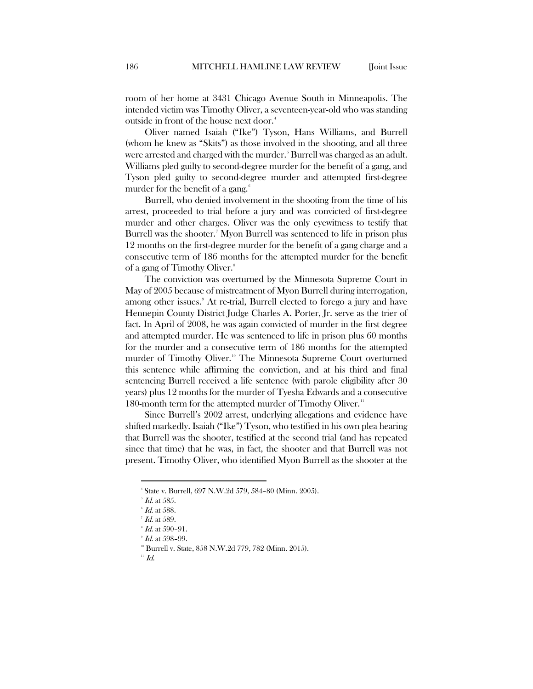room of her home at 3431 Chicago Avenue South in Minneapolis. The intended victim was Timothy Oliver, a seventeen-year-old who was standing outside in front of the house next door.<sup>[4](#page-2-0)</sup>

Oliver named Isaiah ("Ike") Tyson, Hans Williams, and Burrell (whom he knew as "Skits") as those involved in the shooting, and all three were arrested and charged with the murder.<sup>[5](#page-2-1)</sup> Burrell was charged as an adult. Williams pled guilty to second-degree murder for the benefit of a gang, and Tyson pled guilty to second-degree murder and attempted first-degree murder for the benefit of a gang.<sup>[6](#page-2-2)</sup>

Burrell, who denied involvement in the shooting from the time of his arrest, proceeded to trial before a jury and was convicted of first-degree murder and other charges. Oliver was the only eyewitness to testify that Burrell was the shooter.[7](#page-2-3) Myon Burrell was sentenced to life in prison plus 12 months on the first-degree murder for the benefit of a gang charge and a consecutive term of 186 months for the attempted murder for the benefit of a gang of Timothy Oliver.<sup>[8](#page-2-4)</sup>

The conviction was overturned by the Minnesota Supreme Court in May of 2005 because of mistreatment of Myon Burrell during interrogation, among other issues.<sup>[9](#page-2-5)</sup> At re-trial, Burrell elected to forego a jury and have Hennepin County District Judge Charles A. Porter, Jr. serve as the trier of fact. In April of 2008, he was again convicted of murder in the first degree and attempted murder. He was sentenced to life in prison plus 60 months for the murder and a consecutive term of 186 months for the attempted murder of Timothy Oliver.<sup>[10](#page-2-6)</sup> The Minnesota Supreme Court overturned this sentence while affirming the conviction, and at his third and final sentencing Burrell received a life sentence (with parole eligibility after 30 years) plus 12 months for the murder of Tyesha Edwards and a consecutive 180-month term for the attempted murder of Timothy Oliver.<sup>[11](#page-2-7)</sup>

Since Burrell's 2002 arrest, underlying allegations and evidence have shifted markedly. Isaiah ("Ike") Tyson, who testified in his own plea hearing that Burrell was the shooter, testified at the second trial (and has repeated since that time) that he was, in fact, the shooter and that Burrell was not present. Timothy Oliver, who identified Myon Burrell as the shooter at the

 $\overline{a}$ 

<span id="page-2-7"></span> $\mathbb{1}$  Id.

<span id="page-2-2"></span><span id="page-2-1"></span><span id="page-2-0"></span><sup>4</sup> State v. Burrell, 697 N.W.2d 579, 584–80 (Minn. 2005).

 $^{\circ}$  *Id*. at 585.

 $\mathscr{G}$  *Id*. at 588.

 $^7$  Id. at 589.

<span id="page-2-5"></span><span id="page-2-4"></span><span id="page-2-3"></span> $\mathbf{H}$  Id. at 590-91.

 $\mathscr{I}$  Id. at 598–99.

<span id="page-2-6"></span><sup>&</sup>lt;sup>10</sup> Burrell v. State, 858 N.W.2d 779, 782 (Minn. 2015).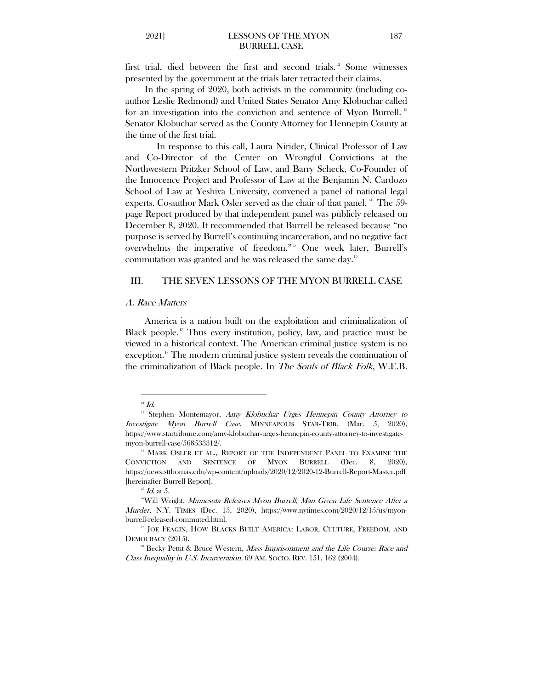first trial, died between the first and second trials.<sup>[12](#page-3-0)</sup> Some witnesses presented by the government at the trials later retracted their claims.

In the spring of 2020, both activists in the community (including coauthor Leslie Redmond) and United States Senator Amy Klobuchar called for an investigation into the conviction and sentence of Myon Burrell.<sup>[13](#page-3-1)</sup> Senator Klobuchar served as the County Attorney for Hennepin County at the time of the first trial.

In response to this call, Laura Nirider, Clinical Professor of Law and Co-Director of the Center on Wrongful Convictions at the Northwestern Pritzker School of Law, and Barry Scheck, Co-Founder of the Innocence Project and Professor of Law at the Benjamin N. Cardozo School of Law at Yeshiva University, convened a panel of national legal experts. Co-author Mark Osler served as the chair of that panel.<sup>[14](#page-3-2)</sup> The 59page Report produced by that independent panel was publicly released on December 8, 2020. It recommended that Burrell be released because "no purpose is served by Burrell's continuing incarceration, and no negative fact overwhelms the imperative of freedom."[15](#page-3-3) One week later, Burrell's commutation was granted and he was released the same day.<sup>16</sup>

### III. THE SEVEN LESSONS OF THE MYON BURRELL CASE

#### A. Race Matters

America is a nation built on the exploitation and criminalization of Black people.<sup>[17](#page-3-5)</sup> Thus every institution, policy, law, and practice must be viewed in a historical context. The American criminal justice system is no exception.<sup>[18](#page-3-6)</sup> The modern criminal justice system reveals the continuation of the criminalization of Black people. In The Souls of Black Folk, W.E.B.

<span id="page-3-1"></span><span id="page-3-0"></span><sup>&</sup>lt;sup>12</sup> Id.<br><sup>13</sup> Stephen Montemayor, *Amy Klobuchar Urges Hennepin County Attorney to* Investigate Myon Burrell Case, MINNEAPOLIS STAR-TRIB. (Mar. 5, 2020), https://www.startribune.com/amy-klobuchar-urges-hennepin-county-attorney-to-investigatemyon-burrell-case/568533312/.

<span id="page-3-2"></span><sup>&</sup>lt;sup>14</sup> MARK OSLER ET AL., REPORT OF THE INDEPENDENT PANEL TO EXAMINE THE CONVICTION AND SENTENCE OF MYON BURRELL (Dec. 8, 2020), https://news.stthomas.edu/wp-content/uploads/2020/12/2020-12-Burrell-Report-Master.pdf [hereinafter Burrell Report].

 $15$  Id. at 5.

<span id="page-3-4"></span><span id="page-3-3"></span><sup>16</sup>Will Wright, Minnesota Releases Myon Burrell, Man Given Life Sentence After a *Murder,* N.Y. TIMES (Dec. 15, 2020), https://www.nytimes.com/2020/12/15/us/myonburrell-released-commuted.html.

<span id="page-3-5"></span><sup>&</sup>lt;sup>17</sup> JOE FEAGIN, HOW BLACKS BUILT AMERICA: LABOR, CULTURE, FREEDOM, AND DEMOCRACY (2015).

<span id="page-3-6"></span><sup>&</sup>lt;sup>18</sup> Becky Pettit & Bruce Western, *Mass Imprisonment and the Life Course: Race and* Class Inequality in U.S. Incarceration, 69 AM. SOCIO. REV. 151, 162 (2004).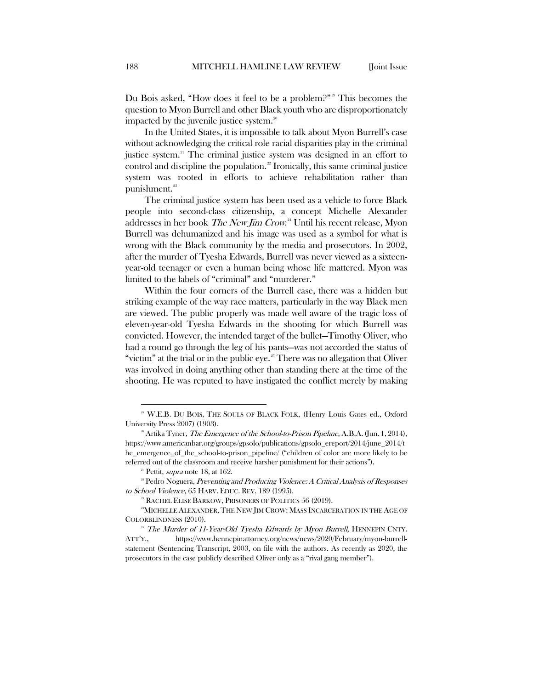Du Bois asked, "How does it feel to be a problem?"[19](#page-4-0) This becomes the question to Myon Burrell and other Black youth who are disproportionately impacted by the juvenile justice system.<sup>[20](#page-4-1)</sup>

In the United States, it is impossible to talk about Myon Burrell's case without acknowledging the critical role racial disparities play in the criminal justice system.<sup>[21](#page-4-2)</sup> The criminal justice system was designed in an effort to control and discipline the population.<sup>[22](#page-4-3)</sup> Ironically, this same criminal justice system was rooted in efforts to achieve rehabilitation rather than punishment.<sup>[23](#page-4-4)</sup>

The criminal justice system has been used as a vehicle to force Black people into second-class citizenship, a concept Michelle Alexander addresses in her book *The New Jim Crow*.[24](#page-4-5) Until his recent release, Myon Burrell was dehumanized and his image was used as a symbol for what is wrong with the Black community by the media and prosecutors. In 2002, after the murder of Tyesha Edwards, Burrell was never viewed as a sixteenyear-old teenager or even a human being whose life mattered. Myon was limited to the labels of "criminal" and "murderer."

Within the four corners of the Burrell case, there was a hidden but striking example of the way race matters, particularly in the way Black men are viewed. The public properly was made well aware of the tragic loss of eleven-year-old Tyesha Edwards in the shooting for which Burrell was convicted. However, the intended target of the bullet—Timothy Oliver, who had a round go through the leg of his pants—was not accorded the status of "victim" at the trial or in the public eye.<sup>[25](#page-4-6)</sup> There was no allegation that Oliver was involved in doing anything other than standing there at the time of the shooting. He was reputed to have instigated the conflict merely by making

<span id="page-4-0"></span><sup>&</sup>lt;sup>19</sup> W.E.B. DU BOIS, THE SOULS OF BLACK FOLK, (Henry Louis Gates ed., Oxford University Press 2007) (1903).

<span id="page-4-1"></span> $^{20}$  Artika Tyner, *The Emergence of the School-to-Prison Pipeline*, A.B.A. (Jun. 1, 2014), https://www.americanbar.org/groups/gpsolo/publications/gpsolo\_ereport/2014/june\_2014/t he\_emergence\_of\_the\_school-to-prison\_pipeline/ ("children of color are more likely to be referred out of the classroom and receive harsher punishment for their actions").

<span id="page-4-3"></span><span id="page-4-2"></span><sup>&</sup>lt;sup>21</sup> Pettit, *supra* note 18, at 162.<br><sup>22</sup> Pedro Noguera, *Preventing and Producing Violence: A Critical Analysis of Responses* to School Violence, 65 HARV. EDUC. REV. 189 (1995).

<sup>23</sup> RACHEL ELISE BARKOW, PRISONERS OF POLITICS 56 (2019).

<span id="page-4-5"></span><span id="page-4-4"></span><sup>24</sup>MICHELLE ALEXANDER, THE NEW JIM CROW: MASS INCARCERATION IN THE AGE OF COLORBLINDNESS (2010).

<span id="page-4-6"></span> $25$  The Murder of 11-Year-Old Tyesha Edwards by Myon Burrell, HENNEPIN CNTY. ATT'Y., https://www.hennepinattorney.org/news/news/2020/February/myon-burrellstatement (Sentencing Transcript, 2003, on file with the authors. As recently as 2020, the prosecutors in the case publicly described Oliver only as a "rival gang member").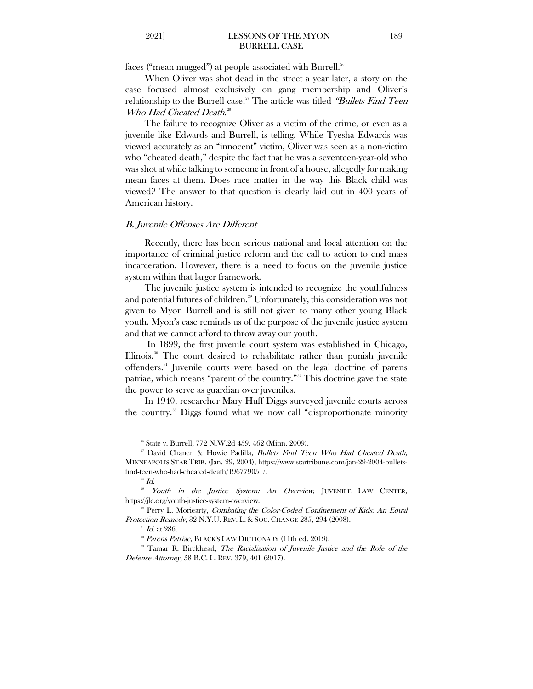faces ("mean mugged") at people associated with Burrell.<sup>[26](#page-5-0)</sup>

When Oliver was shot dead in the street a year later, a story on the case focused almost exclusively on gang membership and Oliver's relationship to the Burrell case.<sup>[27](#page-5-1)</sup> The article was titled "Bullets Find Teen Who Had Cheated Death.<sup>[28](#page-5-2)</sup>

The failure to recognize Oliver as a victim of the crime, or even as a juvenile like Edwards and Burrell, is telling. While Tyesha Edwards was viewed accurately as an "innocent" victim, Oliver was seen as a non-victim who "cheated death," despite the fact that he was a seventeen-year-old who was shot at while talking to someone in front of a house, allegedly for making mean faces at them. Does race matter in the way this Black child was viewed? The answer to that question is clearly laid out in 400 years of American history.

#### B. Juvenile Offenses Are Different

Recently, there has been serious national and local attention on the importance of criminal justice reform and the call to action to end mass incarceration. However, there is a need to focus on the juvenile justice system within that larger framework.

The juvenile justice system is intended to recognize the youthfulness and potential futures of children. [29](#page-5-3) Unfortunately, this consideration was not given to Myon Burrell and is still not given to many other young Black youth. Myon's case reminds us of the purpose of the juvenile justice system and that we cannot afford to throw away our youth.

In 1899, the first juvenile court system was established in Chicago, Illinois.[30](#page-5-4) The court desired to rehabilitate rather than punish juvenile offenders.<sup>[31](#page-5-5)</sup> Juvenile courts were based on the legal doctrine of parens patriae, which means "parent of the country." [32](#page-5-6) This doctrine gave the state the power to serve as guardian over juveniles.

In 1940, researcher Mary Huff Diggs surveyed juvenile courts across the country.[33](#page-5-7) Diggs found what we now call "disproportionate minority

<sup>&</sup>lt;sup>26</sup> State v. Burrell, 772 N.W.2d 459, 462 (Minn. 2009).

<span id="page-5-1"></span><span id="page-5-0"></span><sup>&</sup>lt;sup>27</sup> David Chanen & Howie Padilla, *Bullets Find Teen Who Had Cheated Death*, MINNEAPOLIS STAR TRIB. (Jan. 29, 2004), https://www.startribune.com/jan-29-2004-bulletsfind-teen-who-had-cheated-death/196779051/.<br><sup>28</sup> *Id.* 29 *Youth in the Justice System: An Overview*, JUVENILE LAW CENTER,

<span id="page-5-4"></span><span id="page-5-3"></span><span id="page-5-2"></span>https://jlc.org/youth-justice-system-overview.<br><sup>30</sup> Perry L. Moriearty, *Combating the Color-Coded Confinement of Kids: An Equal* 

Protection Remedy, 32 N.Y.U. REV. L. & SOC. CHANGE 285, 294 (2008).

 $^{31}$  *Id.* at 286.

<sup>&</sup>lt;sup>32</sup> Parens Patriae, BLACK'S LAW DICTIONARY (11th ed. 2019).

<span id="page-5-7"></span><span id="page-5-6"></span><span id="page-5-5"></span><sup>&</sup>lt;sup>33</sup> Tamar R. Birckhead, *The Racialization of Juvenile Justice and the Role of the* Defense Attorney, 58 B.C. L. REV. 379, 401 (2017).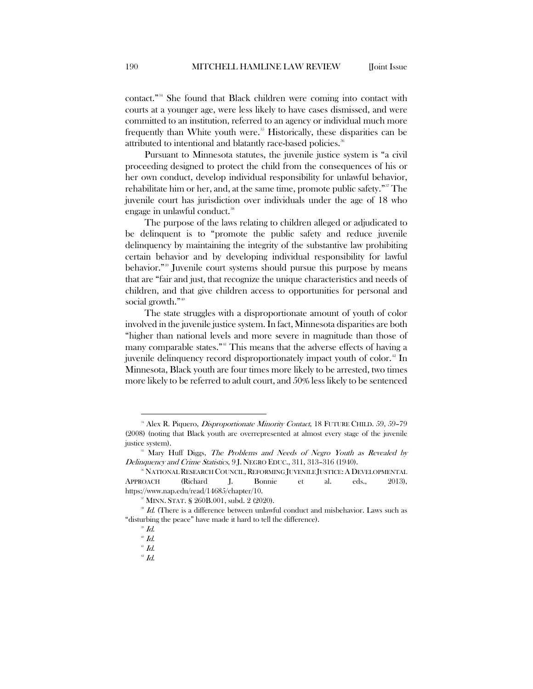contact." [34](#page-6-0) She found that Black children were coming into contact with courts at a younger age, were less likely to have cases dismissed, and were committed to an institution, referred to an agency or individual much more frequently than White youth were. [35](#page-6-1) Historically, these disparities can be attributed to intentional and blatantly race-based policies.<sup>[36](#page-6-2)</sup>

Pursuant to Minnesota statutes, the juvenile justice system is "a civil proceeding designed to protect the child from the consequences of his or her own conduct, develop individual responsibility for unlawful behavior, rehabilitate him or her, and, at the same time, promote public safety."<sup>[37](#page-6-3)</sup> The juvenile court has jurisdiction over individuals under the age of 18 who engage in unlawful conduct.<sup>[38](#page-6-4)</sup>

The purpose of the laws relating to children alleged or adjudicated to be delinquent is to "promote the public safety and reduce juvenile delinquency by maintaining the integrity of the substantive law prohibiting certain behavior and by developing individual responsibility for lawful behavior."<sup>[39](#page-6-5)</sup> Juvenile court systems should pursue this purpose by means that are "fair and just, that recognize the unique characteristics and needs of children, and that give children access to opportunities for personal and social growth."<sup>[40](#page-6-6)</sup>

The state struggles with a disproportionate amount of youth of color involved in the juvenile justice system. In fact, Minnesota disparities are both "higher than national levels and more severe in magnitude than those of many comparable states."<sup>[41](#page-6-7)</sup> This means that the adverse effects of having a juvenile delinquency record disproportionately impact youth of color.<sup>[42](#page-6-8)</sup> In Minnesota, Black youth are four times more likely to be arrested, two times more likely to be referred to adult court, and 50% less likely to be sentenced

<span id="page-6-0"></span><sup>&</sup>lt;sup>34</sup> Alex R. Piquero, *Disproportionate Minority Contact*, 18 FUTURE CHILD. 59, 59-79 (2008) (noting that Black youth are overrepresented at almost every stage of the juvenile justice system).

<span id="page-6-1"></span><sup>&</sup>lt;sup>35</sup> Mary Huff Diggs, The Problems and Needs of Negro Youth as Revealed by Delinquency and Crime Statistics, 9 J. NEGRO EDUC., 311, 313–316 (1940).

<span id="page-6-2"></span><sup>&</sup>lt;sup>36</sup> NATIONAL RESEARCH COUNCIL, REFORMING JUVENILE JUSTICE: A DEVELOPMENTAL APPROACH (Richard J. Bonnie et al. eds., 2013), https://www.nap.edu/read/14685/chapter/10.<br><sup>37</sup> MINN. STAT. § 260B.001, subd. 2 (2020).<br><sup>38</sup> *Id.* (There is a difference between unlawful conduct and misbehavior. Laws such as

<span id="page-6-8"></span><span id="page-6-7"></span><span id="page-6-6"></span><span id="page-6-5"></span><span id="page-6-4"></span><span id="page-6-3"></span><sup>% &</sup>quot;disturbing the peace" have made it hard to tell the difference).<br>
" $\frac{d}{d}$ ."<br>
" $\frac{Id}{d}$ .<br>
" $\frac{Id}{d}$ .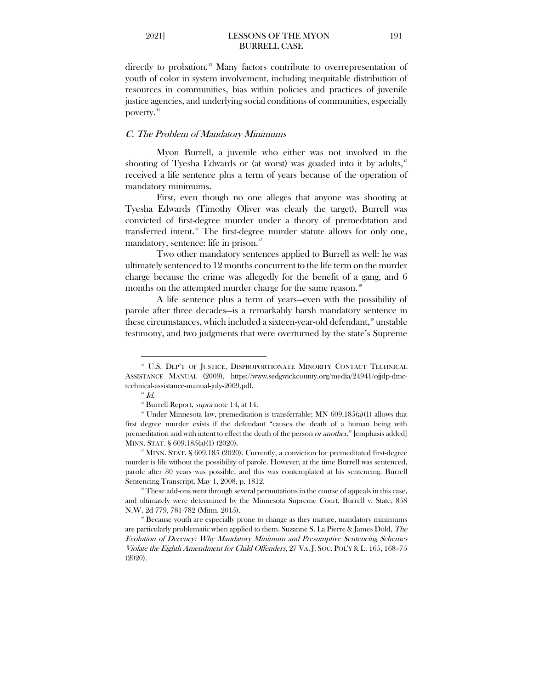directly to probation.<sup>[43](#page-7-0)</sup> Many factors contribute to overrepresentation of youth of color in system involvement, including inequitable distribution of resources in communities, bias within policies and practices of juvenile justice agencies, and underlying social conditions of communities, especially poverty.<sup>[44](#page-7-1)</sup>

# C. The Problem of Mandatory Minimums

 Myon Burrell, a juvenile who either was not involved in the shooting of Tyesha Edwards or (at worst) was goaded into it by adults,<sup>[45](#page-7-2)</sup> received a life sentence plus a term of years because of the operation of mandatory minimums.

First, even though no one alleges that anyone was shooting at Tyesha Edwards (Timothy Oliver was clearly the target), Burrell was convicted of first-degree murder under a theory of premeditation and transferred intent.<sup>[46](#page-7-3)</sup> The first-degree murder statute allows for only one, mandatory, sentence: life in prison.<sup>[47](#page-7-4)</sup>

Two other mandatory sentences applied to Burrell as well: he was ultimately sentenced to 12 months concurrent to the life term on the murder charge because the crime was allegedly for the benefit of a gang, and 6 months on the attempted murder charge for the same reason.<sup>[48](#page-7-5)</sup>

A life sentence plus a term of years—even with the possibility of parole after three decades—is a remarkably harsh mandatory sentence in these circumstances, which included a sixteen-year-old defendant,<sup>[49](#page-7-6)</sup> unstable testimony, and two judgments that were overturned by the state's Supreme

<span id="page-7-0"></span><sup>&</sup>lt;sup>43</sup> U.S. DEP'T OF JUSTICE, DISPROPORTIONATE MINORITY CONTACT TECHNICAL ASSISTANCE MANUAL (2009), https://www.sedgwickcounty.org/media/24941/ojjdp-dmctechnical-assistance-manual-july-2009.pdf.

 $^{44}$  *Id.*<br> $^{45}$  Burrell Report, *supra* note 14, at 14.

<span id="page-7-3"></span><span id="page-7-2"></span><span id="page-7-1"></span> $*$  Under Minnesota law, premeditation is transferrable; MN 609.185(a)(1) allows that first degree murder exists if the defendant "causes the death of a human being with premeditation and with intent to effect the death of the person or another." [emphasis added] MINN. STAT. § 609.185(a)(1) (2020).

<span id="page-7-4"></span><sup>&</sup>lt;sup> $\sigma$ </sup> MINN. STAT. § 609.185 (2020). Currently, a conviction for premeditated first-degree murder is life without the possibility of parole. However, at the time Burrell was sentenced, parole after 30 years was possible, and this was contemplated at his sentencing. Burrell Sentencing Transcript, May 1, 2008, p. 1812.<br>
<sup>\*</sup> These add-ons went through several permutations in the course of appeals in this case,

<span id="page-7-5"></span>and ultimately were determined by the Minnesota Supreme Court. Burrell v. State, 858 N.W. 2d 779, 781-782 (Minn. 2015).

<span id="page-7-6"></span><sup>49</sup> Because youth are especially prone to change as they mature, mandatory minimums are particularly problematic when applied to them. Suzanne S. La Pierre & James Dold, The Evolution of Decency: Why Mandatory Minimum and Presumptive Sentencing Schemes Violate the Eighth Amendment for Child Offenders, 27 VA. J. SOC. POL'Y & L. 165, 168–75 (2020).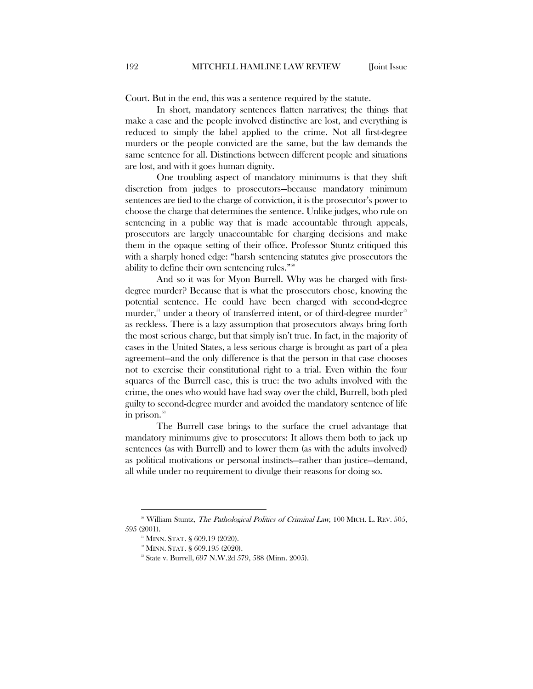Court. But in the end, this was a sentence required by the statute.

In short, mandatory sentences flatten narratives; the things that make a case and the people involved distinctive are lost, and everything is reduced to simply the label applied to the crime. Not all first-degree murders or the people convicted are the same, but the law demands the same sentence for all. Distinctions between different people and situations are lost, and with it goes human dignity.

One troubling aspect of mandatory minimums is that they shift discretion from judges to prosecutors—because mandatory minimum sentences are tied to the charge of conviction, it is the prosecutor's power to choose the charge that determines the sentence. Unlike judges, who rule on sentencing in a public way that is made accountable through appeals, prosecutors are largely unaccountable for charging decisions and make them in the opaque setting of their office. Professor Stuntz critiqued this with a sharply honed edge: "harsh sentencing statutes give prosecutors the ability to define their own sentencing rules."<sup>[50](#page-8-0)</sup>

And so it was for Myon Burrell. Why was he charged with firstdegree murder? Because that is what the prosecutors chose, knowing the potential sentence. He could have been charged with second-degree murder, $51$  under a theory of transferred intent, or of third-degree murder $52$ as reckless. There is a lazy assumption that prosecutors always bring forth the most serious charge, but that simply isn't true. In fact, in the majority of cases in the United States, a less serious charge is brought as part of a plea agreement—and the only difference is that the person in that case chooses not to exercise their constitutional right to a trial. Even within the four squares of the Burrell case, this is true: the two adults involved with the crime, the ones who would have had sway over the child, Burrell, both pled guilty to second-degree murder and avoided the mandatory sentence of life in prison.<sup>[53](#page-8-3)</sup>

The Burrell case brings to the surface the cruel advantage that mandatory minimums give to prosecutors: It allows them both to jack up sentences (as with Burrell) and to lower them (as with the adults involved) as political motivations or personal instincts—rather than justice—demand, all while under no requirement to divulge their reasons for doing so.

<span id="page-8-3"></span><span id="page-8-2"></span><span id="page-8-1"></span><span id="page-8-0"></span><sup>&</sup>lt;sup>30</sup> William Stuntz, *The Pathological Politics of Criminal Law*, 100 MICH. L. REV. 505, 595 (2001).

<sup>51</sup> MINN. STAT. § 609.19 (2020).

 $\frac{28}{3}$  MINN. STAT. § 609.195 (2020).<br> $\frac{25}{3}$  State v. Burrell, 697 N.W.2d 579, 588 (Minn. 2005).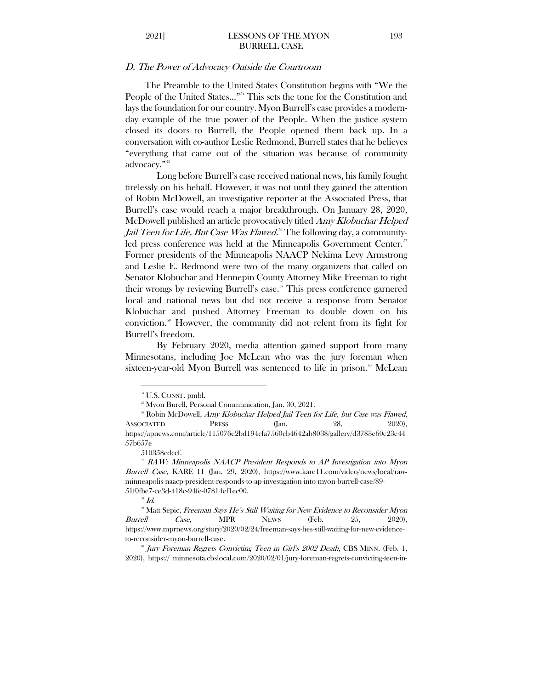#### D. The Power of Advocacy Outside the Courtroom

The Preamble to the United States Constitution begins with "We the People of the United States..."<sup>[54](#page-9-0)</sup> This sets the tone for the Constitution and lays the foundation for our country. Myon Burrell's case provides a modernday example of the true power of the People. When the justice system closed its doors to Burrell, the People opened them back up. In a conversation with co-author Leslie Redmond, Burrell states that he believes "everything that came out of the situation was because of community advocacy."<sup>[55](#page-9-1)</sup>

Long before Burrell's case received national news, his family fought tirelessly on his behalf. However, it was not until they gained the attention of Robin McDowell, an investigative reporter at the Associated Press, that Burrell's case would reach a major breakthrough. On January 28, 2020, McDowell published an article provocatively titled Amy Klobuchar Helped Jail Teen for Life, But Case Was Flawed.<sup>[56](#page-9-2)</sup> The following day, a community-led press conference was held at the Minneapolis Government Center.<sup>[57](#page-9-3)</sup> Former presidents of the Minneapolis NAACP Nekima Levy Armstrong and Leslie E. Redmond were two of the many organizers that called on Senator Klobuchar and Hennepin County Attorney Mike Freeman to right their wrongs by reviewing Burrell's case.<sup>[58](#page-9-4)</sup> This press conference garnered local and national news but did not receive a response from Senator Klobuchar and pushed Attorney Freeman to double down on his conviction.[59](#page-9-5) However, the community did not relent from its fight for Burrell's freedom.

By February 2020, media attention gained support from many Minnesotans, including Joe McLean who was the jury foreman when sixteen-year-old Myon Burrell was sentenced to life in prison.<sup>[60](#page-9-6)</sup> McLean

510358cdccf.

<sup>&</sup>lt;sup>54</sup> U.S. CONST. pmbl.

<span id="page-9-2"></span><span id="page-9-1"></span><span id="page-9-0"></span><sup>&</sup>lt;sup>55</sup> Myon Burell, Personal Communication, Jan. 30, 2021.<br><sup>56</sup> Robin McDowell, *Amy Klobuchar Helped Jail Teen for Life, but Case was Flawed*, ASSOCIATED PRESS (Jan. 28, 2020), https://apnews.com/article/115076e2bd194cfa7560cb4642ab8038/gallery/d3783e60c23e44 57b657e

<span id="page-9-3"></span> $57$  RAW: Minneapolis NAACP President Responds to AP Investigation into Myon Burrell Case, KARE 11 (Jan. 29, 2020), https://www.kare11.com/video/news/local/rawminneapolis-naacp-president-responds-to-ap-investigation-into-myon-burrell-case/89- 51f0fbe7-ce3d-418c-94fe-07814ef1ec00.

 $^{58}$  Id.

<span id="page-9-5"></span><span id="page-9-4"></span><sup>&</sup>lt;sup>39</sup> Matt Sepic, *Freeman Says He's Still Waiting for New Evidence to Reconsider Myon* Burrell Case, MPR NEWS (Feb. 25, 2020), https://www.mprnews.org/story/2020/02/24/freeman-says-hes-still-waiting-for-new-evidenceto-reconsider-myon-burrell-case.<br>
<sup>69</sup> Jury Foreman Regrets Convicting Teen in Girl's 2002 Death, CBS MINN. (Feb. 1,

<span id="page-9-6"></span><sup>2020),</sup> https:// minnesota.cbslocal.com/2020/02/01/jury-foreman-regrets-convicting-teen-in-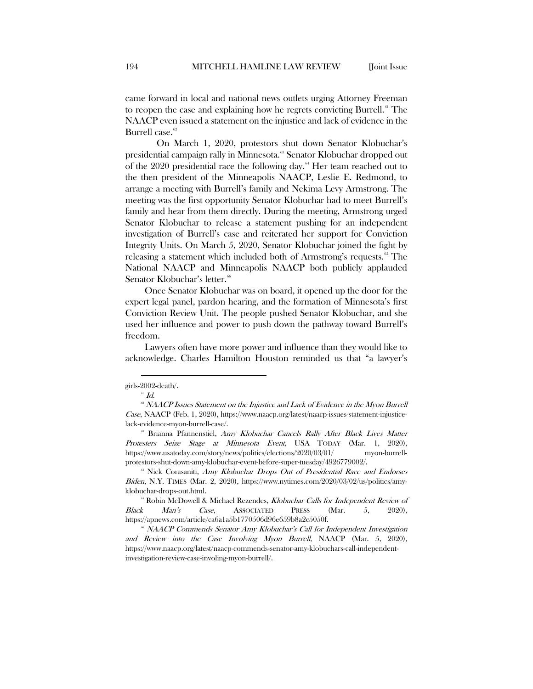came forward in local and national news outlets urging Attorney Freeman to reopen the case and explaining how he regrets convicting Burrell.<sup>[61](#page-10-0)</sup> The NAACP even issued a statement on the injustice and lack of evidence in the Burrell case.<sup>[62](#page-10-1)</sup>

On March 1, 2020, protestors shut down Senator Klobuchar's presidential campaign rally in Minnesota.<sup>[63](#page-10-2)</sup> Senator Klobuchar dropped out of the  $2020$  presidential race the following day.<sup>[64](#page-10-3)</sup> Her team reached out to the then president of the Minneapolis NAACP, Leslie E. Redmond, to arrange a meeting with Burrell's family and Nekima Levy Armstrong. The meeting was the first opportunity Senator Klobuchar had to meet Burrell's family and hear from them directly. During the meeting, Armstrong urged Senator Klobuchar to release a statement pushing for an independent investigation of Burrell's case and reiterated her support for Conviction Integrity Units. On March 5, 2020, Senator Klobuchar joined the fight by releasing a statement which included both of Armstrong's requests.<sup>[65](#page-10-4)</sup> The National NAACP and Minneapolis NAACP both publicly applauded Senator Klobuchar's letter.<sup>6</sup>

Once Senator Klobuchar was on board, it opened up the door for the expert legal panel, pardon hearing, and the formation of Minnesota's first Conviction Review Unit. The people pushed Senator Klobuchar, and she used her influence and power to push down the pathway toward Burrell's freedom.

Lawyers often have more power and influence than they would like to acknowledge. Charles Hamilton Houston reminded us that "a lawyer's

<span id="page-10-0"></span>girls-2002-death/.

 $^{61}$   $Id.$ 

<span id="page-10-1"></span><sup>&</sup>lt;sup>®</sup> NAACP Issues Statement on the Injustice and Lack of Evidence in the Myon Burrell Case, NAACP (Feb. 1, 2020), https://www.naacp.org/latest/naacp-issues-statement-injusticelack-evidence-myon-burrell-case/.

<span id="page-10-2"></span><sup>&</sup>lt;sup>63</sup> Brianna Pfannenstiel, Amy Klobuchar Cancels Rally After Black Lives Matter Protesters Seize Stage at Minnesota Event, USA TODAY (Mar. 1, 2020), https://www.usatoday.com/story/news/politics/elections/2020/03/01/ myon-burrellprotestors-shut-down-amy-klobuchar-event-before-super-tuesday/4926779002/.

<span id="page-10-3"></span><sup>&</sup>lt;sup>64</sup> Nick Corasaniti, Amy Klobuchar Drops Out of Presidential Race and Endorses Biden, N.Y. TIMES (Mar. 2, 2020), https://www.nytimes.com/2020/03/02/us/politics/amyklobuchar-drops-out.html.<br>65 Robin McDowell & Michael Rezendes, *Klobuchar Calls for Independent Review of* 

<span id="page-10-4"></span>Black Man's Case, ASSOCIATED PRESS (Mar. 5, 2020), https://apnews.com/article/ca6a1a5b1770506d96e659b8a2c5050f.

<span id="page-10-5"></span><sup>&</sup>lt;sup>66</sup> NAACP Commends Senator Amy Klobuchar's Call for Independent Investigation and Review into the Case Involving Myon Burrell, NAACP (Mar. 5, 2020), https://www.naacp.org/latest/naacp-commends-senator-amy-klobuchars-call-independentinvestigation-review-case-involing-myon-burrell/.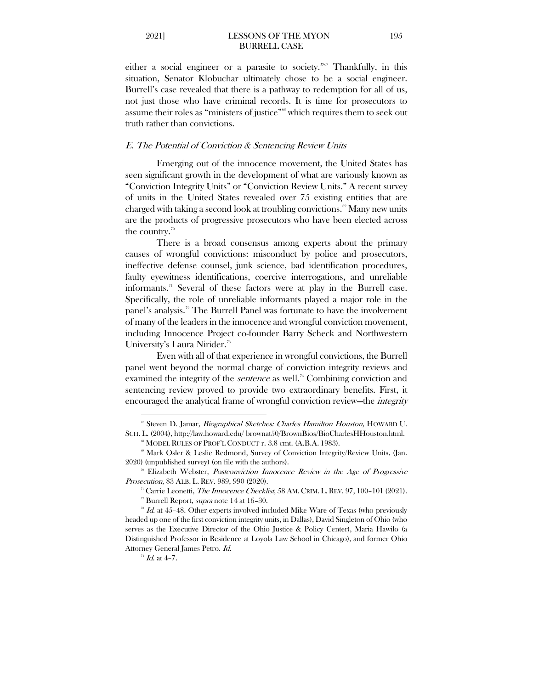either a social engineer or a parasite to society."<sup>[67](#page-11-0)</sup> Thankfully, in this situation, Senator Klobuchar ultimately chose to be a social engineer. Burrell's case revealed that there is a pathway to redemption for all of us, not just those who have criminal records. It is time for prosecutors to assume their roles as "ministers of justice"[68](#page-11-1) which requires them to seek out truth rather than convictions.

### E. The Potential of Conviction & Sentencing Review Units

 Emerging out of the innocence movement, the United States has seen significant growth in the development of what are variously known as "Conviction Integrity Units" or "Conviction Review Units." A recent survey of units in the United States revealed over 75 existing entities that are charged with taking a second look at troubling convictions.<sup><sup>[69](#page-11-2)</sup> Many new units</sup> are the products of progressive prosecutors who have been elected across the country.<sup>[70](#page-11-3)</sup>

There is a broad consensus among experts about the primary causes of wrongful convictions: misconduct by police and prosecutors, ineffective defense counsel, junk science, bad identification procedures, faulty eyewitness identifications, coercive interrogations, and unreliable informants.<sup> $n$ </sup> Several of these factors were at play in the Burrell case. Specifically, the role of unreliable informants played a major role in the panel's analysis.<sup>[72](#page-11-5)</sup> The Burrell Panel was fortunate to have the involvement of many of the leaders in the innocence and wrongful conviction movement, including Innocence Project co-founder Barry Scheck and Northwestern University's Laura Nirider.<sup>[73](#page-11-6)</sup>

Even with all of that experience in wrongful convictions, the Burrell panel went beyond the normal charge of conviction integrity reviews and examined the integrity of the *sentence* as well.<sup>[74](#page-11-7)</sup> Combining conviction and sentencing review proved to provide two extraordinary benefits. First, it encouraged the analytical frame of wrongful conviction review—the integrity

<span id="page-11-0"></span><sup>&</sup>lt;sup>67</sup> Steven D. Jamar, *Biographical Sketches: Charles Hamilton Houston*, HOWARD U. SCH. L. (2004), http://law.howard.edu/ brownat50/BrownBios/BioCharlesHHouston.html.

<span id="page-11-2"></span><span id="page-11-1"></span><sup>&</sup>lt;sup>88</sup> MODEL RULES OF PROF'L CONDUCT r. 3.8 cmt. (A.B.A. 1983).<br><sup>®</sup> Mark Osler & Leslie Redmond, Survey of Conviction Integrity/Review Units, (Jan. 2020) (unpublished survey) (on file with the authors).

<sup>&</sup>lt;sup>70</sup> Elizabeth Webster, *Postconviction Innocence Review in the Age of Progressive* 

<span id="page-11-4"></span><span id="page-11-3"></span>*Prosecution,* 83 ALB. L. REV. 989, 990 (2020).<br><sup>71</sup> Carrie Leonetti, *The Innocence Checklist*, 58 AM. CRIM. L. REV. 97, 100–101 (2021).<br><sup>72</sup> Burrell Report, *supra* note 14 at 16–30.

<span id="page-11-7"></span><span id="page-11-6"></span><span id="page-11-5"></span> $\overline{7}$  Id. at 45–48. Other experts involved included Mike Ware of Texas (who previously headed up one of the first conviction integrity units, in Dallas), David Singleton of Ohio (who serves as the Executive Director of the Ohio Justice & Policy Center), Maria Hawilo (a Distinguished Professor in Residence at Loyola Law School in Chicago), and former Ohio Attorney General James Petro. Id.

 $^{74}$  *Id.* at 4-7.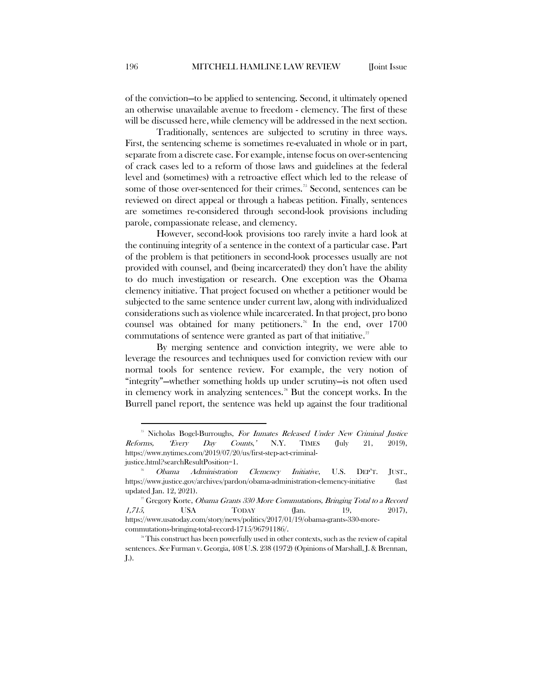of the conviction—to be applied to sentencing. Second, it ultimately opened an otherwise unavailable avenue to freedom - clemency. The first of these will be discussed here, while clemency will be addressed in the next section.

Traditionally, sentences are subjected to scrutiny in three ways. First, the sentencing scheme is sometimes re-evaluated in whole or in part, separate from a discrete case. For example, intense focus on over-sentencing of crack cases led to a reform of those laws and guidelines at the federal level and (sometimes) with a retroactive effect which led to the release of some of those over-sentenced for their crimes.<sup>[75](#page-12-0)</sup> Second, sentences can be reviewed on direct appeal or through a habeas petition. Finally, sentences are sometimes re-considered through second-look provisions including parole, compassionate release, and clemency.

However, second-look provisions too rarely invite a hard look at the continuing integrity of a sentence in the context of a particular case. Part of the problem is that petitioners in second-look processes usually are not provided with counsel, and (being incarcerated) they don't have the ability to do much investigation or research. One exception was the Obama clemency initiative. That project focused on whether a petitioner would be subjected to the same sentence under current law, along with individualized considerations such as violence while incarcerated. In that project, pro bono counsel was obtained for many petitioners.<sup>[76](#page-12-1)</sup> In the end, over  $1700$ commutations of sentence were granted as part of that initiative."

By merging sentence and conviction integrity, we were able to leverage the resources and techniques used for conviction review with our normal tools for sentence review. For example, the very notion of "integrity"—whether something holds up under scrutiny—is not often used in clemency work in analyzing sentences.<sup>[78](#page-12-3)</sup> But the concept works. In the Burrell panel report, the sentence was held up against the four traditional

<span id="page-12-0"></span><sup>&</sup>lt;sup>75</sup> Nicholas Bogel-Burroughs, For Inmates Released Under New Criminal Justice Reforms, 'Every Day Counts,' N.Y. TIMES (July 21, 2019), https://www.nytimes.com/2019/07/20/us/first-step-act-criminaljustice.html?searchResultPosition=1.

<span id="page-12-1"></span>Obama Administration Clemency Initiative, U.S. DEP'T. JUST., https://www.justice.gov/archives/pardon/obama-administration-clemency-initiative (last updated Jan. 12, 2021).<br><sup>77</sup> Gregory Korte, *Obama Grants 330 More Commutations, Bringing Total to a Record* 

<span id="page-12-2"></span><sup>1,715,</sup> USA TODAY (Jan. 19, 2017), https://www.usatoday.com/story/news/politics/2017/01/19/obama-grants-330-morecommutations-bringing-total-record-1715/96791186/.

<span id="page-12-3"></span><sup>&</sup>lt;sup>78</sup> This construct has been powerfully used in other contexts, such as the review of capital sentences. See Furman v. Georgia, 408 U.S. 238 (1972) (Opinions of Marshall, J. & Brennan, J.).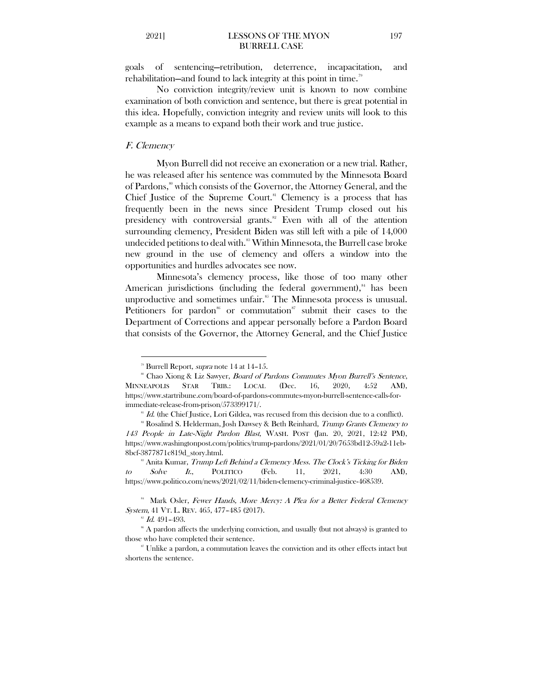goals of sentencing—retribution, deterrence, incapacitation, and rehabilitation—and found to lack integrity at this point in time.<sup>[79](#page-13-0)</sup>

No conviction integrity/review unit is known to now combine examination of both conviction and sentence, but there is great potential in this idea. Hopefully, conviction integrity and review units will look to this example as a means to expand both their work and true justice.

#### F. Clemency

 $\overline{a}$ 

Myon Burrell did not receive an exoneration or a new trial. Rather, he was released after his sentence was commuted by the Minnesota Board of Pardons,<sup>[80](#page-13-1)</sup> which consists of the Governor, the Attorney General, and the Chief Justice of the Supreme Court.<sup>[81](#page-13-2)</sup> Clemency is a process that has frequently been in the news since President Trump closed out his presidency with controversial grants. [82](#page-13-3) Even with all of the attention surrounding clemency, President Biden was still left with a pile of 14,000 undecided petitions to deal with. [83](#page-13-4) Within Minnesota, the Burrell case broke new ground in the use of clemency and offers a window into the opportunities and hurdles advocates see now.

Minnesota's clemency process, like those of too many other American jurisdictions (including the federal government),<sup>[84](#page-13-5)</sup> has been unproductive and sometimes unfair.<sup>85</sup> The Minnesota process is unusual. Petitioners for pardon<sup>[86](#page-13-7)</sup> or commutation<sup>[87](#page-13-8)</sup> submit their cases to the Department of Corrections and appear personally before a Pardon Board that consists of the Governor, the Attorney General, and the Chief Justice

<span id="page-13-1"></span><span id="page-13-0"></span><sup>&</sup>lt;sup>79</sup> Burrell Report, *supra* note 14 at 14–15.<br><sup>80</sup> Chao Xiong & Liz Sawyer, *Board of Pardons Commutes Myon Burrell's Sentence*, MINNEAPOLIS STAR TRIB.: LOCAL (Dec. 16, 2020, 4:52 AM), https://www.startribune.com/board-of-pardons-commutes-myon-burrell-sentence-calls-forimmediate-release-from-prison/573399171/.

 $^{81}$  *Id.* (the Chief Justice, Lori Gildea, was recused from this decision due to a conflict).

<span id="page-13-3"></span><span id="page-13-2"></span><sup>&</sup>lt;sup>82</sup> Rosalind S. Helderman, Josh Dawsey & Beth Reinhard, *Trump Grants Clemency to* 143 People in Late-Night Pardon Blast, WASH. POST (Jan. 20, 2021, 12:42 PM), https://www.washingtonpost.com/politics/trump-pardons/2021/01/20/7653bd12-59a2-11eb-8bcf-3877871c819d\_story.html.<br><sup>83</sup> Anita Kumar, *Trump Left Behind a Clemency Mess. The Clock's Ticking for Biden* 

<span id="page-13-4"></span>to Solve It., POLITICO (Feb. 11,  $2021$ ,  $4:30$  AM), https://www.politico.com/news/2021/02/11/biden-clemency-criminal-justice-468539.

<span id="page-13-5"></span><sup>&</sup>lt;sup>84</sup> Mark Osler, Fewer Hands, More Mercy: A Plea for a Better Federal Clemency System, 41 VT. L. REV. 465, 477–485 (2017).

 $^{85}$  Id. 491-493.

<span id="page-13-7"></span><span id="page-13-6"></span><sup>&</sup>lt;sup>86</sup> A pardon affects the underlying conviction, and usually (but not always) is granted to those who have completed their sentence.

<span id="page-13-8"></span><sup>87</sup> Unlike a pardon, a commutation leaves the conviction and its other effects intact but shortens the sentence.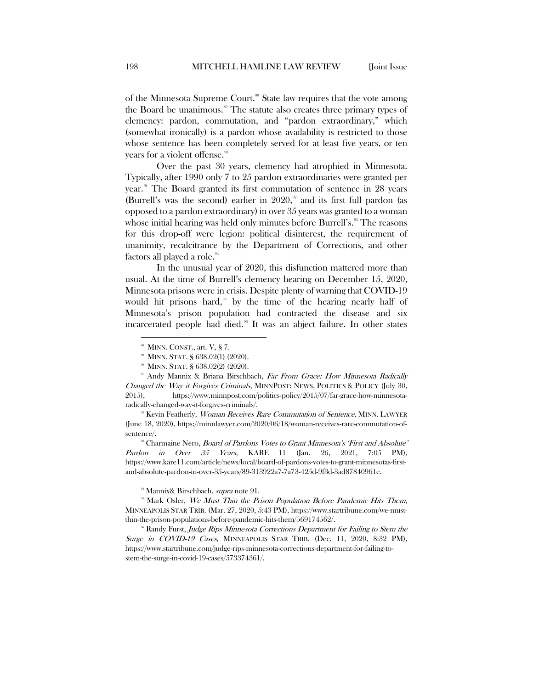of the Minnesota Supreme Court.<sup>[88](#page-14-0)</sup> State law requires that the vote among the Board be unanimous.<sup>[89](#page-14-1)</sup> The statute also creates three primary types of clemency: pardon, commutation, and "pardon extraordinary," which (somewhat ironically) is a pardon whose availability is restricted to those whose sentence has been completely served for at least five years, or ten years for a violent offense. [90](#page-14-2)

Over the past 30 years, clemency had atrophied in Minnesota. Typically, after 1990 only 7 to 25 pardon extraordinaries were granted per year.<sup>[91](#page-14-3)</sup> The Board granted its first commutation of sentence in 28 years (Burrell's was the second) earlier in 2020,<sup>[92](#page-14-4)</sup> and its first full pardon (as opposed to a pardon extraordinary) in over 35 years was granted to a woman whose initial hearing was held only minutes before Burrell's.<sup>[93](#page-14-5)</sup> The reasons for this drop-off were legion: political disinterest, the requirement of unanimity, recalcitrance by the Department of Corrections, and other factors all played a role.<sup>[94](#page-14-6)</sup>

In the unusual year of 2020, this disfunction mattered more than usual. At the time of Burrell's clemency hearing on December 15, 2020, Minnesota prisons were in crisis. Despite plenty of warning that COVID-19 would hit prisons hard,<sup> $95$ </sup> by the time of the hearing nearly half of Minnesota's prison population had contracted the disease and six incarcerated people had died.<sup>[96](#page-14-8)</sup> It was an abject failure. In other states

 $\overline{a}$ 

<span id="page-14-5"></span><sup>98</sup> Charmaine Nero, *Board of Pardons Votes to Grant Minnesota's 'First and Absolute'* Pardon in Over 35 Years, KARE 11 (Jan. 26, 2021, 7:05 PM), https://www.kare11.com/article/news/local/board-of-pardons-votes-to-grant-minnesotas-firstand-absolute-pardon-in-over-35-years/89-313922a7-7a73-425d-9f3d-3ad87840961e.

<sup>94</sup> Mannix& Birschbach, *supra* note 91.

<span id="page-14-8"></span><sup>96</sup> Randy Furst, Judge Rips Minnesota Corrections Department for Failing to Stem the Surge in COVID-19 Cases, MINNEAPOLIS STAR TRIB. (Dec. 11, 2020, 8:32 PM), https://www.startribune.com/judge-rips-minnesota-corrections-department-for-failing-tostem-the-surge-in-covid-19-cases/573374361/.

 $88$  MINN. CONST., art. V, § 7.

<sup>89</sup> MINN. STAT. § 638.02(1) (2020).

<span id="page-14-3"></span><span id="page-14-2"></span><span id="page-14-1"></span><span id="page-14-0"></span><sup>&</sup>lt;sup>90</sup> MINN. STAT. § 638.02(2) (2020).<br><sup>91</sup> Andy Mannix & Briana Birschbach, *Far From Grace: How Minnesota Radically* Changed the Way it Forgives Criminals, MINNPOST: NEWS, POLITICS & POLICY (July 30, 2015), https://www.minnpost.com/politics-policy/2015/07/far-grace-how-minnesotaradically-changed-way-it-forgives-criminals/.

<span id="page-14-4"></span><sup>&</sup>lt;sup>92</sup> Kevin Featherly, Woman Receives Rare Commutation of Sentence, MINN. LAWYER (June 18, 2020), https://minnlawyer.com/2020/06/18/woman-receives-rare-commutation-ofsentence/.

<span id="page-14-7"></span><span id="page-14-6"></span><sup>&</sup>lt;sup>95</sup> Mark Osler, We Must Thin the Prison Population Before Pandemic Hits Them, MINNEAPOLIS STAR TRIB. (Mar. 27, 2020, 5:43 PM), https://www.startribune.com/we-mustthin-the-prison-populations-before-pandemic-hits-them/569174562/.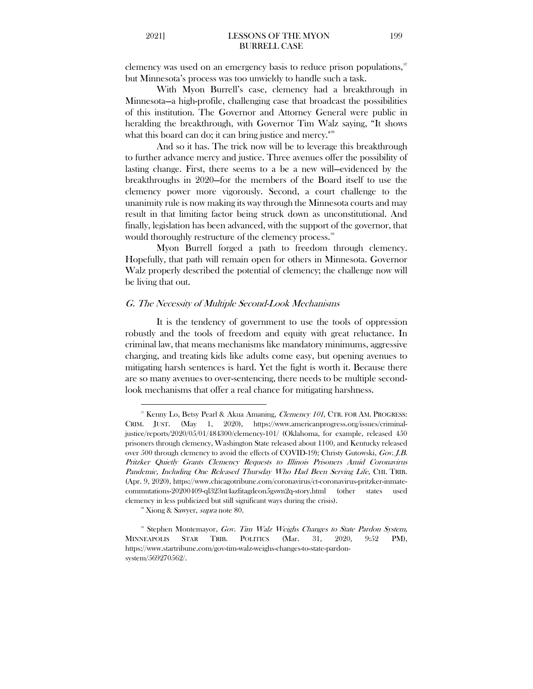clemency was used on an emergency basis to reduce prison populations,  $\mathcal{I}$ but Minnesota's process was too unwieldy to handle such a task.

With Myon Burrell's case, clemency had a breakthrough in Minnesota—a high-profile, challenging case that broadcast the possibilities of this institution. The Governor and Attorney General were public in heralding the breakthrough, with Governor Tim Walz saying, "It shows what this board can do; it can bring justice and mercy."<sup>[98](#page-15-1)</sup>

And so it has. The trick now will be to leverage this breakthrough to further advance mercy and justice. Three avenues offer the possibility of lasting change. First, there seems to a be a new will—evidenced by the breakthroughs in 2020—for the members of the Board itself to use the clemency power more vigorously. Second, a court challenge to the unanimity rule is now making its way through the Minnesota courts and may result in that limiting factor being struck down as unconstitutional. And finally, legislation has been advanced, with the support of the governor, that would thoroughly restructure of the clemency process.<sup>[99](#page-15-2)</sup>

Myon Burrell forged a path to freedom through clemency. Hopefully, that path will remain open for others in Minnesota. Governor Walz properly described the potential of clemency; the challenge now will be living that out.

# G. The Necessity of Multiple Second-Look Mechanisms

It is the tendency of government to use the tools of oppression robustly and the tools of freedom and equity with great reluctance. In criminal law, that means mechanisms like mandatory minimums, aggressive charging, and treating kids like adults come easy, but opening avenues to mitigating harsh sentences is hard. Yet the fight is worth it. Because there are so many avenues to over-sentencing, there needs to be multiple secondlook mechanisms that offer a real chance for mitigating harshness.

<span id="page-15-0"></span><sup>&</sup>lt;sup>97</sup> Kenny Lo, Betsy Pearl & Akua Amaning, *Clemency 101*, CTR. FOR AM. PROGRESS: CRIM. JUST. (May 1, 2020), https://www.americanprogress.org/issues/criminaljustice/reports/2020/05/01/484300/clemency-101/ (Oklahoma, for example, released 450 prisoners through clemency, Washington State released about 1100, and Kentucky released over 500 through clemency to avoid the effects of COVID-19); Christy Gutowski, Gov. J.B. Pritzker Quietly Grants Clemency Requests to Illinois Prisoners Amid Coronavirus Pandemic, Including One Released Thursday Who Had Been Serving Life, CHI. TRIB. (Apr. 9, 2020), https://www.chicagotribune.com/coronavirus/ct-coronavirus-pritzker-inmatecommutations-20200409-ql323nt4azfitagdeon5gswn2q-story.html (other states used clemency in less publicized but still significant ways during the crisis). <sup>\*</sup> Xiong & Sawyer, *supra* note 80.

<span id="page-15-2"></span><span id="page-15-1"></span><sup>&</sup>lt;sup>99</sup> Stephen Montemayor, Gov. Tim Walz Weighs Changes to State Pardon System, MINNEAPOLIS STAR TRIB. POLITICS (Mar. 31, 2020, 9:52 PM), https://www.startribune.com/gov-tim-walz-weighs-changes-to-state-pardonsystem/569270562/.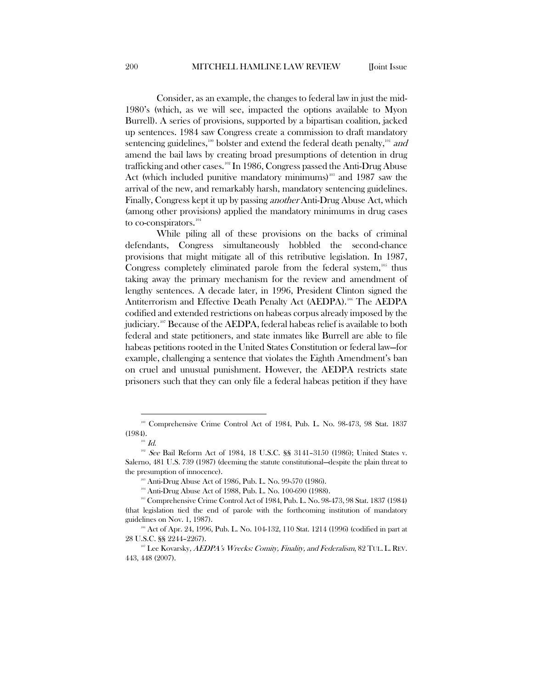Consider, as an example, the changes to federal law in just the mid-1980's (which, as we will see, impacted the options available to Myon Burrell). A series of provisions, supported by a bipartisan coalition, jacked up sentences. 1984 saw Congress create a commission to draft mandatory sentencing guidelines,<sup>[100](#page-16-0)</sup> bolster and extend the federal death penalty,<sup>[101](#page-16-1)</sup> and amend the bail laws by creating broad presumptions of detention in drug trafficking and other cases.<sup>[102](#page-16-2)</sup> In 1986, Congress passed the Anti-Drug Abuse Act (which included punitive mandatory minimums)<sup>108</sup> and 1987 saw the arrival of the new, and remarkably harsh, mandatory sentencing guidelines. Finally, Congress kept it up by passing another Anti-Drug Abuse Act, which (among other provisions) applied the mandatory minimums in drug cases to co-conspirators. $^{104}$  $^{104}$  $^{104}$ 

While piling all of these provisions on the backs of criminal defendants, Congress simultaneously hobbled the second-chance provisions that might mitigate all of this retributive legislation. In 1987, Congress completely eliminated parole from the federal system,<sup>[105](#page-16-5)</sup> thus taking away the primary mechanism for the review and amendment of lengthy sentences. A decade later, in 1996, President Clinton signed the Antiterrorism and Effective Death Penalty Act (AEDPA). [106](#page-16-6) The AEDPA codified and extended restrictions on habeas corpus already imposed by the judiciary.<sup>[107](#page-16-7)</sup> Because of the AEDPA, federal habeas relief is available to both federal and state petitioners, and state inmates like Burrell are able to file habeas petitions rooted in the United States Constitution or federal law—for example, challenging a sentence that violates the Eighth Amendment's ban on cruel and unusual punishment. However, the AEDPA restricts state prisoners such that they can only file a federal habeas petition if they have

<span id="page-16-0"></span><sup>100</sup> Comprehensive Crime Control Act of 1984, Pub. L. No. 98-473, 98 Stat. 1837 (1984).

 $101$  Id.

<span id="page-16-2"></span><span id="page-16-1"></span><sup>102</sup> See Bail Reform Act of 1984, 18 U.S.C. §§ 3141-3150 (1986); United States v. Salerno, 481 U.S. 739 (1987) (deeming the statute constitutional—despite the plain threat to the presumption of innocence).

 $\text{103}$  Anti-Drug Abuse Act of 1986, Pub. L. No. 99-570 (1986).

<sup>104</sup> Anti-Drug Abuse Act of 1988, Pub. L. No. 100-690 (1988).

<span id="page-16-5"></span><span id="page-16-4"></span><span id="page-16-3"></span><sup>&</sup>lt;sup>105</sup> Comprehensive Crime Control Act of 1984, Pub. L. No. 98-473, 98 Stat. 1837 (1984) (that legislation tied the end of parole with the forthcoming institution of mandatory guidelines on Nov. 1, 1987).

<span id="page-16-6"></span><sup>&</sup>lt;sup>106</sup> Act of Apr. 24, 1996, Pub. L. No. 104-132, 110 Stat. 1214 (1996) (codified in part at 28 U.S.C. §§ 2244–2267).

<span id="page-16-7"></span> $107$  Lee Kovarsky,  $AEDPA's$  Wrecks: Comity, Finality, and Federalism,  $82$  Tul. L. REV. 443, 448 (2007).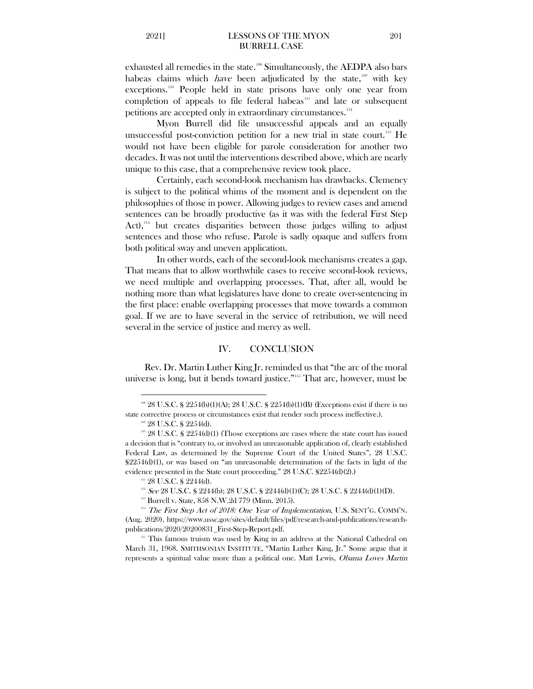exhausted all remedies in the state. [108](#page-17-0) Simultaneously, the AEDPA also bars habeas claims which *have* been adjudicated by the state,<sup>[109](#page-17-1)</sup> with key exceptions.[110](#page-17-2) People held in state prisons have only one year from completion of appeals to file federal habeas<sup>[111](#page-17-3)</sup> and late or subsequent petitions are accepted only in extraordinary circumstances.<sup>[112](#page-17-4)</sup>

Myon Burrell did file unsuccessful appeals and an equally unsuccessful post-conviction petition for a new trial in state court.<sup>[113](#page-17-5)</sup> He would not have been eligible for parole consideration for another two decades. It was not until the interventions described above, which are nearly unique to this case, that a comprehensive review took place.

Certainly, each second-look mechanism has drawbacks. Clemency is subject to the political whims of the moment and is dependent on the philosophies of those in power. Allowing judges to review cases and amend sentences can be broadly productive (as it was with the federal First Step Act), $14$  but creates disparities between those judges willing to adjust sentences and those who refuse. Parole is sadly opaque and suffers from both political sway and uneven application.

In other words, each of the second-look mechanisms creates a gap. That means that to allow worthwhile cases to receive second-look reviews, we need multiple and overlapping processes. That, after all, would be nothing more than what legislatures have done to create over-sentencing in the first place: enable overlapping processes that move towards a common goal. If we are to have several in the service of retribution, we will need several in the service of justice and mercy as well.

#### IV. CONCLUSION

Rev. Dr. Martin Luther King Jr. reminded us that "the arc of the moral universe is long, but it bends toward justice."[115](#page-17-7) That arc, however, must be

 $\overline{a}$ 

<sup>111</sup> 28 U.S.C. § 2244(d).

<span id="page-17-7"></span>March 31, 1968. SMITHSONIAN INSTITUTE, "Martin Luther King, Jr." Some argue that it represents a spiritual value more than a political one. Matt Lewis, Obama Loves Martin

<span id="page-17-0"></span> $108$  28 U.S.C. § 2254(b)(1)(A); 28 U.S.C. § 2254(b)(1)(B) (Exceptions exist if there is no state corrective process or circumstances exist that render such process ineffective.). <sup>109</sup> 28 U.S.C. § 2254(d).

<span id="page-17-2"></span><span id="page-17-1"></span> $110$  28 U.S.C. § 2254(d)(1) (Those exceptions are cases where the state court has issued a decision that is "contrary to, or involved an unreasonable application of, clearly established Federal Law, as determined by the Supreme Court of the United States", 28 U.S.C. §2254(d)(1), or was based on "an unreasonable determination of the facts in light of the evidence presented in the State court proceeding." 28 U.S.C. §2254(d)(2).)

 $112$  See 28 U.S.C. § 2244(b); 28 U.S.C. § 2244(d)(1)(C); 28 U.S.C. § 2244(d)(1)(D).

<sup>&</sup>lt;sup>113</sup> Burrell v. State, 858 N.W.2d 779 (Minn. 2015).

<span id="page-17-6"></span><span id="page-17-5"></span><span id="page-17-4"></span><span id="page-17-3"></span> $114$  The First Step Act of 2018: One Year of Implementation, U.S. SENT'G. COMM'N. (Aug. 2020), https://www.ussc.gov/sites/default/files/pdf/research-and-publications/researchpublications/2020/20200831\_First-Step-Report.pdf.<br><sup>115</sup> This famous truism was used by King in an address at the National Cathedral on